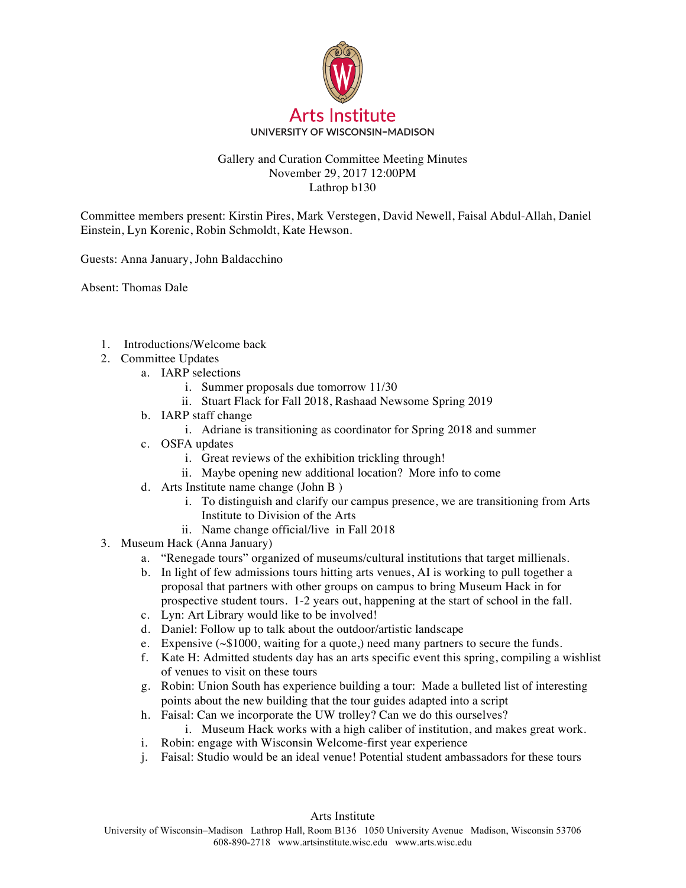

## Gallery and Curation Committee Meeting Minutes November 29, 2017 12:00PM Lathrop b130

Committee members present: Kirstin Pires, Mark Verstegen, David Newell, Faisal Abdul-Allah, Daniel Einstein, Lyn Korenic, Robin Schmoldt, Kate Hewson.

Guests: Anna January, John Baldacchino

Absent: Thomas Dale

- 1. Introductions/Welcome back
- 2. Committee Updates
	- a. IARP selections
		- i. Summer proposals due tomorrow 11/30
		- ii. Stuart Flack for Fall 2018, Rashaad Newsome Spring 2019
	- b. IARP staff change
		- i. Adriane is transitioning as coordinator for Spring 2018 and summer
	- c. OSFA updates
		- i. Great reviews of the exhibition trickling through!
		- ii. Maybe opening new additional location? More info to come
	- d. Arts Institute name change (John B )
		- i. To distinguish and clarify our campus presence, we are transitioning from Arts Institute to Division of the Arts
		- ii. Name change official/live in Fall 2018
- 3. Museum Hack (Anna January)
	- a. "Renegade tours" organized of museums/cultural institutions that target millienals.
	- b. In light of few admissions tours hitting arts venues, AI is working to pull together a proposal that partners with other groups on campus to bring Museum Hack in for prospective student tours. 1-2 years out, happening at the start of school in the fall.
	- c. Lyn: Art Library would like to be involved!
	- d. Daniel: Follow up to talk about the outdoor/artistic landscape
	- e. Expensive (~\$1000, waiting for a quote,) need many partners to secure the funds.
	- f. Kate H: Admitted students day has an arts specific event this spring, compiling a wishlist of venues to visit on these tours
	- g. Robin: Union South has experience building a tour: Made a bulleted list of interesting points about the new building that the tour guides adapted into a script
	- h. Faisal: Can we incorporate the UW trolley? Can we do this ourselves?
		- i. Museum Hack works with a high caliber of institution, and makes great work.
	- i. Robin: engage with Wisconsin Welcome-first year experience
	- j. Faisal: Studio would be an ideal venue! Potential student ambassadors for these tours

Arts Institute